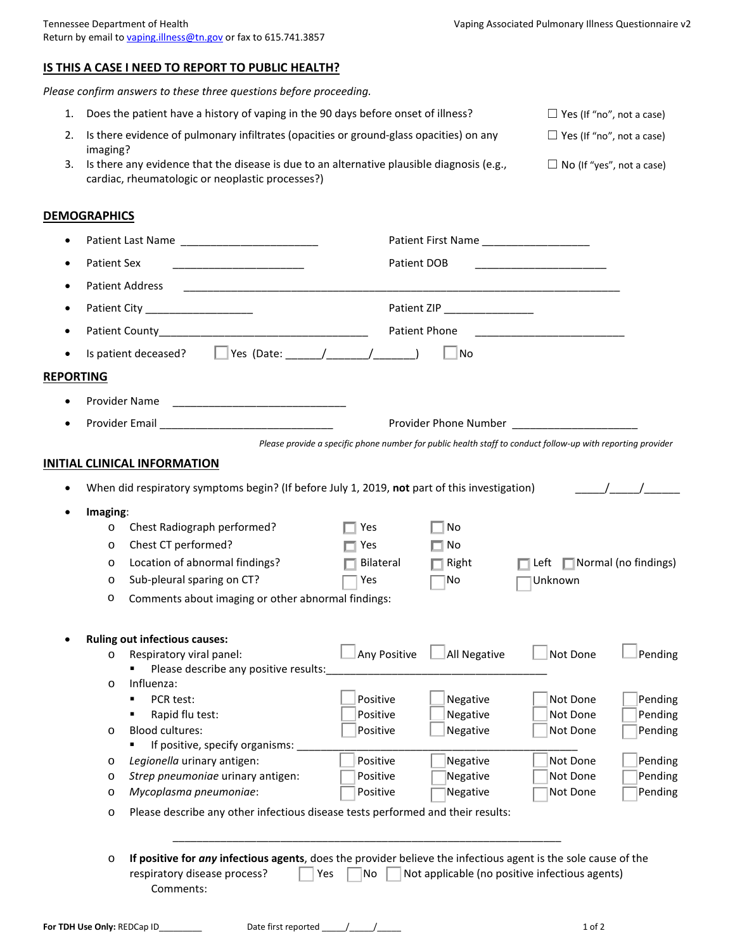## **IS THIS A CASE I NEED TO REPORT TO PUBLIC HEALTH?**

*Please confirm answers to these three questions before proceeding.*

1. Does the patient have a history of vaping in the 90 days before onset of illness? □ Yes (If "no", not a case) 2. Is there evidence of pulmonary infiltrates (opacities or ground-glass opacities) on any imaging?  $\Box$  Yes (If "no", not a case) 3. Is there any evidence that the disease is due to an alternative plausible diagnosis (e.g., cardiac, rheumatologic or neoplastic processes?)  $\Box$  No (If "yes", not a case)

## **DEMOGRAPHICS**

|                  |                    |                                                                                                                | Patient First Name           |                      |                                                                                                             |         |  |  |  |
|------------------|--------------------|----------------------------------------------------------------------------------------------------------------|------------------------------|----------------------|-------------------------------------------------------------------------------------------------------------|---------|--|--|--|
|                  | <b>Patient Sex</b> |                                                                                                                | Patient DOB                  |                      |                                                                                                             |         |  |  |  |
|                  |                    | <b>Patient Address</b>                                                                                         |                              |                      |                                                                                                             |         |  |  |  |
|                  |                    | Patient City _____________________                                                                             |                              |                      |                                                                                                             |         |  |  |  |
|                  |                    |                                                                                                                | Patient ZIP<br>Patient Phone |                      |                                                                                                             |         |  |  |  |
|                  |                    |                                                                                                                |                              |                      |                                                                                                             |         |  |  |  |
|                  |                    |                                                                                                                |                              | No                   |                                                                                                             |         |  |  |  |
| <b>REPORTING</b> |                    |                                                                                                                |                              |                      |                                                                                                             |         |  |  |  |
|                  |                    | Provider Name                                                                                                  |                              |                      |                                                                                                             |         |  |  |  |
|                  |                    |                                                                                                                |                              |                      |                                                                                                             |         |  |  |  |
|                  |                    |                                                                                                                |                              |                      | Please provide a specific phone number for public health staff to conduct follow-up with reporting provider |         |  |  |  |
|                  |                    | <b>INITIAL CLINICAL INFORMATION</b>                                                                            |                              |                      |                                                                                                             |         |  |  |  |
|                  |                    |                                                                                                                |                              |                      |                                                                                                             |         |  |  |  |
|                  |                    | When did respiratory symptoms begin? (If before July 1, 2019, not part of this investigation)                  |                              |                      |                                                                                                             |         |  |  |  |
|                  | Imaging:           |                                                                                                                |                              |                      |                                                                                                             |         |  |  |  |
|                  | O                  | Chest Radiograph performed?                                                                                    | Yes                          | No                   |                                                                                                             |         |  |  |  |
|                  | $\circ$            | Chest CT performed?                                                                                            | Yes                          | $\blacksquare$ No    |                                                                                                             |         |  |  |  |
|                  | O                  | Location of abnormal findings?                                                                                 | Bilateral                    | $\blacksquare$ Right | $\Box$ Left $\Box$ Normal (no findings)                                                                     |         |  |  |  |
|                  | $\circ$            | Sub-pleural sparing on CT?                                                                                     | Yes                          | No                   | Unknown                                                                                                     |         |  |  |  |
|                  | O                  | Comments about imaging or other abnormal findings:                                                             |                              |                      |                                                                                                             |         |  |  |  |
|                  |                    | <b>Ruling out infectious causes:</b>                                                                           |                              |                      |                                                                                                             |         |  |  |  |
|                  | $\circ$            | Respiratory viral panel:                                                                                       | Any Positive                 | All Negative         | Not Done                                                                                                    | Pending |  |  |  |
|                  |                    | Please describe any positive results:                                                                          |                              |                      |                                                                                                             |         |  |  |  |
|                  | $\circ$            | Influenza:                                                                                                     |                              |                      |                                                                                                             |         |  |  |  |
|                  |                    | PCR test:<br>٠                                                                                                 | Positive                     | Negative             | Not Done                                                                                                    | Pending |  |  |  |
|                  |                    | Rapid flu test:                                                                                                | Positive                     | Negative             | Not Done                                                                                                    | Pending |  |  |  |
|                  | $\circ$            | Blood cultures:                                                                                                | Positive                     | Negative             | Not Done                                                                                                    | Pending |  |  |  |
|                  |                    | If positive, specify organisms:                                                                                |                              |                      |                                                                                                             |         |  |  |  |
|                  |                    | Legionella urinary antigen:                                                                                    | Positive                     | Negative             | Not Done                                                                                                    | Pending |  |  |  |
|                  | O                  | Strep pneumoniae urinary antigen:                                                                              | Positive                     | Negative             | Not Done                                                                                                    | Pending |  |  |  |
|                  | $\circ$            | Mycoplasma pneumoniae:                                                                                         | Positive                     | Negative             | Not Done                                                                                                    | Pending |  |  |  |
|                  | $\circ$            | Please describe any other infectious disease tests performed and their results:                                |                              |                      |                                                                                                             |         |  |  |  |
|                  |                    |                                                                                                                |                              |                      |                                                                                                             |         |  |  |  |
|                  |                    | If positive for any infectious agents, does the provider believe the infectious agent is the sole cause of the |                              |                      |                                                                                                             |         |  |  |  |
|                  | O                  | respiratory disease process?                                                                                   | No<br>Yes                    |                      | Not applicable (no positive infectious agents)                                                              |         |  |  |  |
|                  |                    | Comments:                                                                                                      |                              |                      |                                                                                                             |         |  |  |  |